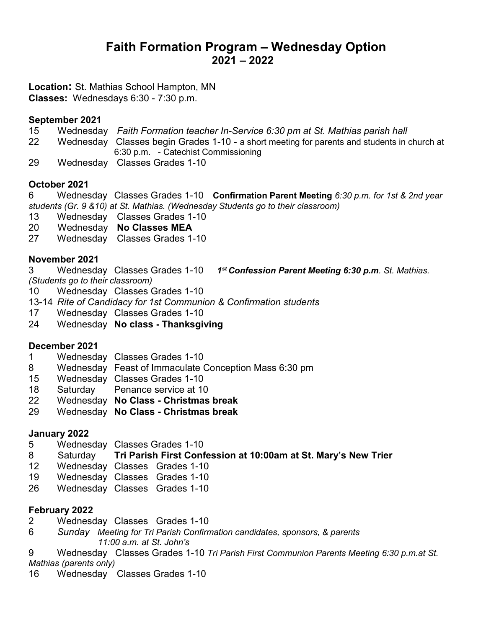# Faith Formation Program – Wednesday Option 2021 – 2022

Location: St. Mathias School Hampton, MN Classes: Wednesdays 6:30 - 7:30 p.m.

#### September 2021

- 15 Wednesday Faith Formation teacher In-Service 6:30 pm at St. Mathias parish hall
- 22 Wednesday Classes begin Grades 1-10 a short meeting for parents and students in church at 6:30 p.m. - Catechist Commissioning
- 29 Wednesday Classes Grades 1-10

## October 2021

6 Wednesday Classes Grades 1-10 Confirmation Parent Meeting 6:30 p.m. for 1st & 2nd year students (Gr. 9 &10) at St. Mathias. (Wednesday Students go to their classroom)

- 13 Wednesday Classes Grades 1-10
- 20 Wednesday No Classes MEA
- 27 Wednesday Classes Grades 1-10

# November 2021

3 Wednesday Classes Grades 1-10 1<sup>st</sup> Confession Parent Meeting 6:30 p.m. St. Mathias. (Students go to their classroom)

- 10 Wednesday Classes Grades 1-10
- 13-14 Rite of Candidacy for 1st Communion & Confirmation students
- 17 Wednesday Classes Grades 1-10
- 24 Wednesday No class Thanksgiving

## December 2021

- 1 Wednesday Classes Grades 1-10
- 8 Wednesday Feast of Immaculate Conception Mass 6:30 pm
- 15 Wednesday Classes Grades 1-10
- 18 Saturday Penance service at 10
- 22 Wednesday No Class Christmas break
- 29 Wednesday No Class Christmas break

## January 2022

- 5 Wednesday Classes Grades 1-10
- 8 Saturday Tri Parish First Confession at 10:00am at St. Mary's New Trier
- 12 Wednesday Classes Grades 1-10
- 19 Wednesday Classes Grades 1-10
- 26 Wednesday Classes Grades 1-10

## February 2022

- 2 Wednesday Classes Grades 1-10
- 6 Sunday Meeting for Tri Parish Confirmation candidates, sponsors, & parents 11:00 a.m. at St. John's
- 9 Wednesday Classes Grades 1-10 Tri Parish First Communion Parents Meeting 6:30 p.m.at St. Mathias (parents only)
- 16 Wednesday Classes Grades 1-10